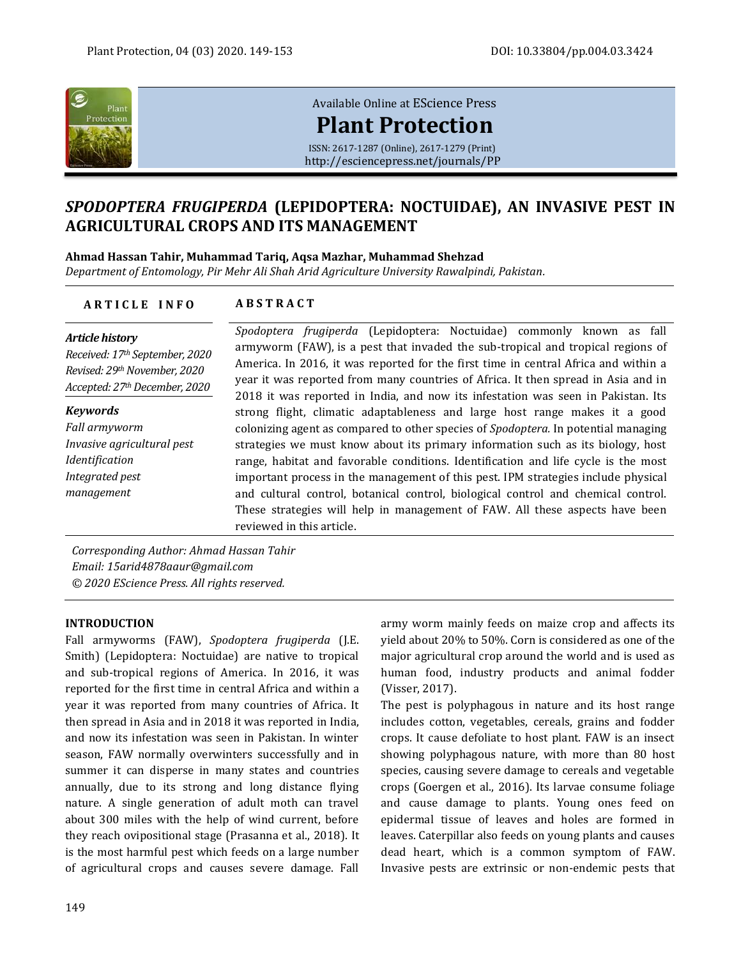

# [Available Online at](http://esciencepress.net/journals/PP) EScience Press **[Plant Protection](http://esciencepress.net/journals/PP)**

ISSN: 2617-1287 (Online), 2617-1279 (Print) <http://esciencepress.net/journals/PP>

# *SPODOPTERA FRUGIPERDA* **(LEPIDOPTERA: NOCTUIDAE), AN INVASIVE PEST IN AGRICULTURAL CROPS AND ITS MANAGEMENT**

### **Ahmad Hassan Tahir, Muhammad Tariq, Aqsa Mazhar, Muhammad Shehzad**

*Department of Entomology, Pir Mehr Ali Shah Arid Agriculture University Rawalpindi, Pakistan.*

## **A R T I C L E I N F O A B S T R A C T**

#### *Article history Received: 17th September, 2020 Revised: 29thNovember, 2020 Accepted: 27thDecember, 2020 Spodoptera frugiperda* (Lepidoptera: Noctuidae) commonly known as fall armyworm (FAW), is a pest that invaded the sub-tropical and tropical regions of America. In 2016, it was reported for the first time in central Africa and within a year it was reported from many countries of Africa. It then spread in Asia and in 2018 it was reported in India, and now its infestation was seen in Pakistan. Its strong flight, climatic adaptableness and large host range makes it a good colonizing agent as compared to other species of *Spodoptera.* In potential managing strategies we must know about its primary information such as its biology, host range, habitat and favorable conditions. Identification and life cycle is the most important process in the management of this pest. IPM strategies include physical and cultural control, botanical control, biological control and chemical control. These strategies will help in management of FAW. All these aspects have been reviewed in this article. *Keywords Fall armyworm Invasive agricultural pest Identification Integrated pest management*

*Corresponding Author: Ahmad Hassan Tahir Email: 15arid4878aaur@gmail.com © 2020 EScience Press. All rights reserved.*

### **INTRODUCTION**

Fall armyworms (FAW), *Spodoptera frugiperda* (J.E. Smith) (Lepidoptera: Noctuidae) are native to tropical and sub-tropical regions of America. In 2016, it was reported for the first time in central Africa and within a year it was reported from many countries of Africa. It then spread in Asia and in 2018 it was reported in India, and now its infestation was seen in Pakistan. In winter season, FAW normally overwinters successfully and in summer it can disperse in many states and countries annually, due to its strong and long distance flying nature. A single generation of adult moth can travel about 300 miles with the help of wind current, before they reach ovipositional stage (Prasanna et al., 2018). It is the most harmful pest which feeds on a large number of agricultural crops and causes severe damage. Fall

army worm mainly feeds on maize crop and affects its yield about 20% to 50%. Corn is considered as one of the major agricultural crop around the world and is used as human food, industry products and animal fodder (Visser, 2017).

The pest is polyphagous in nature and its host range includes cotton, vegetables, cereals, grains and fodder crops. It cause defoliate to host plant. FAW is an insect showing polyphagous nature, with more than 80 host species, causing severe damage to cereals and vegetable crops (Goergen et al., 2016). Its larvae consume foliage and cause damage to plants. Young ones feed on epidermal tissue of leaves and holes are formed in leaves. Caterpillar also feeds on young plants and causes dead heart, which is a common symptom of FAW. Invasive pests are extrinsic or non-endemic pests that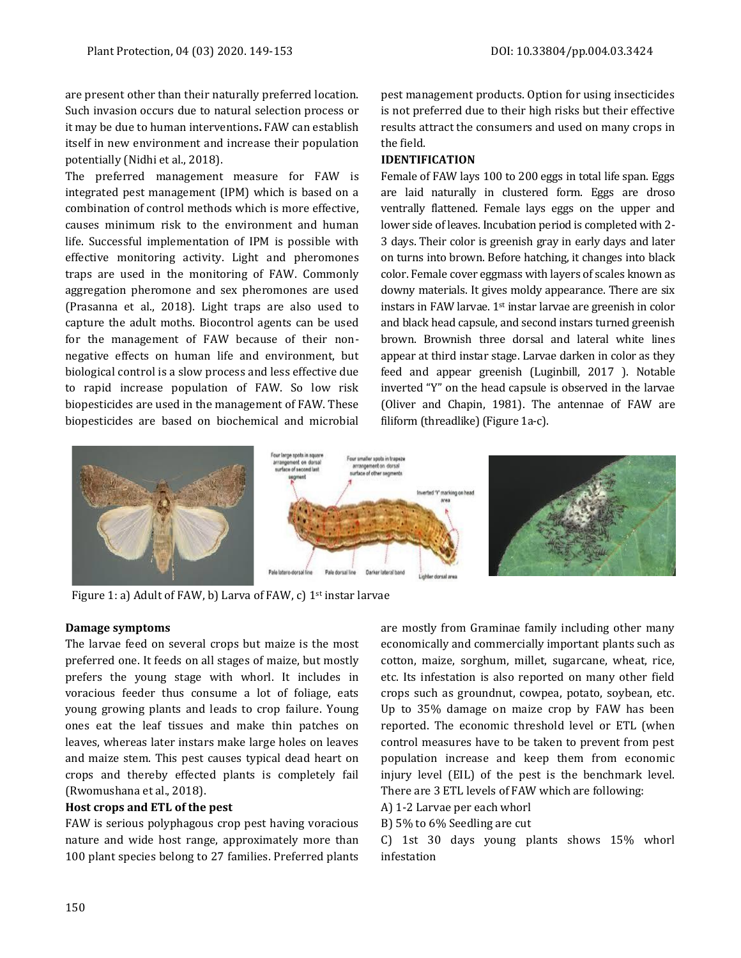are present other than their naturally preferred location. Such invasion occurs due to natural selection process or it may be due to human interventions**.** FAW can establish itself in new environment and increase their population potentially (Nidhi et al., 2018).

The preferred management measure for FAW is integrated pest management (IPM) which is based on a combination of control methods which is more effective, causes minimum risk to the environment and human life. Successful implementation of IPM is possible with effective monitoring activity. Light and pheromones traps are used in the monitoring of FAW. Commonly aggregation pheromone and sex pheromones are used (Prasanna et al., 2018). Light traps are also used to capture the adult moths. Biocontrol agents can be used for the management of FAW because of their nonnegative effects on human life and environment, but biological control is a slow process and less effective due to rapid increase population of FAW. So low risk biopesticides are used in the management of FAW. These biopesticides are based on biochemical and microbial

pest management products. Option for using insecticides is not preferred due to their high risks but their effective results attract the consumers and used on many crops in the field.

### **IDENTIFICATION**

Female of FAW lays 100 to 200 eggs in total life span. Eggs are laid naturally in clustered form. Eggs are droso ventrally flattened. Female lays eggs on the upper and lower side of leaves. Incubation period is completed with 2- 3 days. Their color is greenish gray in early days and later on turns into brown. Before hatching, it changes into black color. Female cover eggmass with layers of scales known as downy materials. It gives moldy appearance. There are six instars in FAW larvae. 1st instar larvae are greenish in color and black head capsule, and second instars turned greenish brown. Brownish three dorsal and lateral white lines appear at third instar stage. Larvae darken in color as they feed and appear greenish (Luginbill, 2017 ). Notable inverted "Y" on the head capsule is observed in the larvae (Oliver and Chapin, 1981). The antennae of FAW are filiform (threadlike)(Figure 1a-c).



Figure 1: a) Adult of FAW, b) Larva of FAW, c) 1<sup>st</sup> instar larvae

#### **Damage symptoms**

The larvae feed on several crops but maize is the most preferred one. It feeds on all stages of maize, but mostly prefers the young stage with whorl. It includes in voracious feeder thus consume a lot of foliage, eats young growing plants and leads to crop failure. Young ones eat the leaf tissues and make thin patches on leaves, whereas later instars make large holes on leaves and maize stem. This pest causes typical dead heart on crops and thereby effected plants is completely fail (Rwomushana et al., 2018).

### **Host crops and ETL of the pest**

FAW is serious polyphagous crop pest having voracious nature and wide host range, approximately more than 100 plant species belong to 27 families. Preferred plants are mostly from Graminae family including other many economically and commercially important plants such as cotton, maize, sorghum, millet, sugarcane, wheat, rice, etc. Its infestation is also reported on many other field crops such as groundnut, cowpea, potato, soybean, etc. Up to 35% damage on maize crop by FAW has been reported. The economic threshold level or ETL (when control measures have to be taken to prevent from pest population increase and keep them from economic injury level (EIL) of the pest is the benchmark level. There are 3 ETL levels of FAW which are following:

- A) 1-2 Larvae per each whorl
- B) 5% to 6% Seedling are cut

C) 1st 30 days young plants shows 15% whorl infestation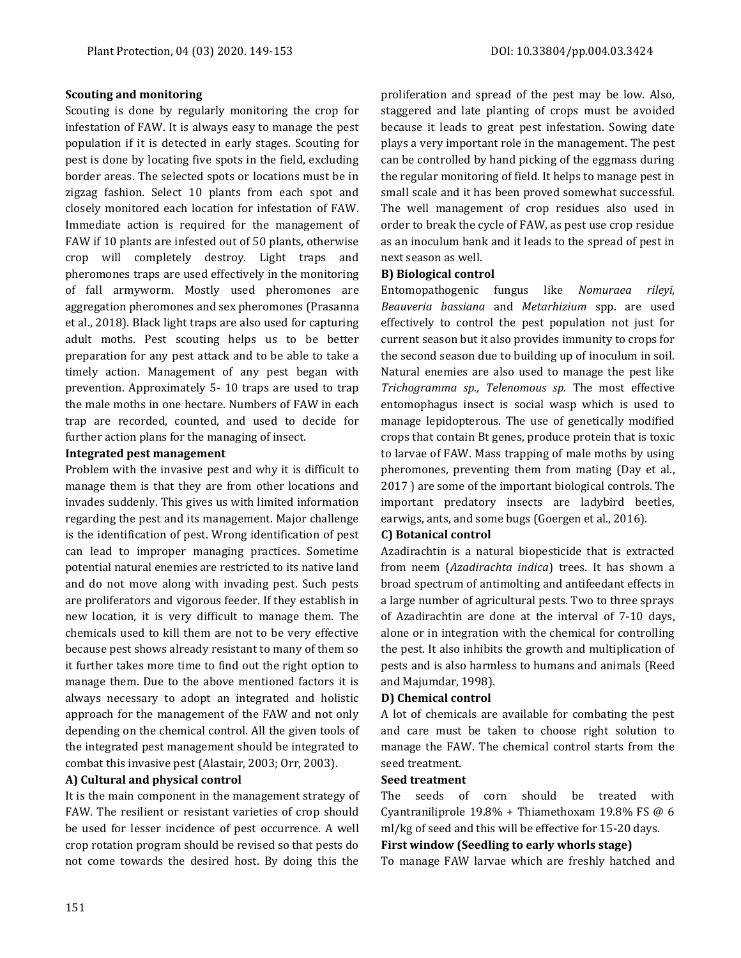#### **Scouting and monitoring**

Scouting is done by regularly monitoring the crop for infestation of FAW. It is always easy to manage the pest population if it is detected in early stages. Scouting for pest is done by locating five spots in the field, excluding border areas. The selected spots or locations must be in zigzag fashion. Select 10 plants from each spot and closely monitored each location for infestation of FAW. Immediate action is required for the management of FAW if 10 plants are infested out of 50 plants, otherwise crop will completely destroy. Light traps and pheromones traps are used effectively in the monitoring of fall armyworm. Mostly used pheromones are aggregation pheromones and sex pheromones (Prasanna et al., 2018). Black light traps are also used for capturing adult moths. Pest scouting helps us to be better preparation for any pest attack and to be able to take a timely action. Management of any pest began with prevention. Approximately 5- 10 traps are used to trap the male moths in one hectare. Numbers of FAW in each trap are recorded, counted, and used to decide for further action plans for the managing of insect.

### **Integrated pest management**

Problem with the invasive pest and why it is difficult to manage them is that they are from other locations and invades suddenly. This gives us with limited information regarding the pest and its management. Major challenge is the identification of pest. Wrong identification of pest can lead to improper managing practices. Sometime potential natural enemies are restricted to its native land and do not move along with invading pest. Such pests are proliferators and vigorous feeder. If they establish in new location, it is very difficult to manage them. The chemicals used to kill them are not to be very effective because pest shows already resistant to many of them so it further takes more time to find out the right option to manage them. Due to the above mentioned factors it is always necessary to adopt an integrated and holistic approach for the management of the FAW and not only depending on the chemical control. All the given tools of the integrated pest management should be integrated to combat this invasive pest (Alastair, 2003; Orr, 2003).

#### **A) Cultural and physical control**

It is the main component in the management strategy of FAW. The resilient or resistant varieties of crop should be used for lesser incidence of pest occurrence. A well crop rotation program should be revised so that pests do not come towards the desired host. By doing this the

proliferation and spread of the pest may be low. Also, staggered and late planting of crops must be avoided because it leads to great pest infestation. Sowing date plays a very important role in the management. The pest can be controlled by hand picking of the eggmass during the regular monitoring of field. It helps to manage pest in small scale and it has been proved somewhat successful. The well management of crop residues also used in order to break the cycle of FAW, as pest use crop residue as an inoculum bank and it leads to the spread of pest in next season as well.

#### **B) Biological control**

Entomopathogenic fungus like *Nomuraea rileyi, Beauveria bassiana* and *Metarhizium* spp. are used effectively to control the pest population not just for current season but it also provides immunity to crops for the second season due to building up of inoculum in soil. Natural enemies are also used to manage the pest like *Trichogramma sp., Telenomous sp.* The most effective entomophagus insect is social wasp which is used to manage lepidopterous. The use of genetically modified crops that contain Bt genes, produce protein that is toxic to larvae of FAW. Mass trapping of male moths by using pheromones, preventing them from mating (Day et al., 2017 ) are some of the important biological controls. The important predatory insects are ladybird beetles, earwigs, ants, and some bugs (Goergen et al., 2016).

#### **C) Botanical control**

Azadirachtin is a natural biopesticide that is extracted from neem (*Azadirachta indica*) trees*.* It has shown a broad spectrum of antimolting and antifeedant effects in a large number of agricultural pests. Two to three sprays of Azadirachtin are done at the interval of 7-10 days, alone or in integration with the chemical for controlling the pest. It also inhibits the growth and multiplication of pests and is also harmless to humans and animals (Reed and Majumdar, 1998).

#### **D) Chemical control**

A lot of chemicals are available for combating the pest and care must be taken to choose right solution to manage the FAW. The chemical control starts from the seed treatment.

### **Seed treatment**

The seeds of corn should be treated with Cyantraniliprole 19.8% + Thiamethoxam 19.8% FS @ 6 ml/kg of seed and this will be effective for 15-20 days.

### **First window (Seedling to early whorls stage)**

To manage FAW larvae which are freshly hatched and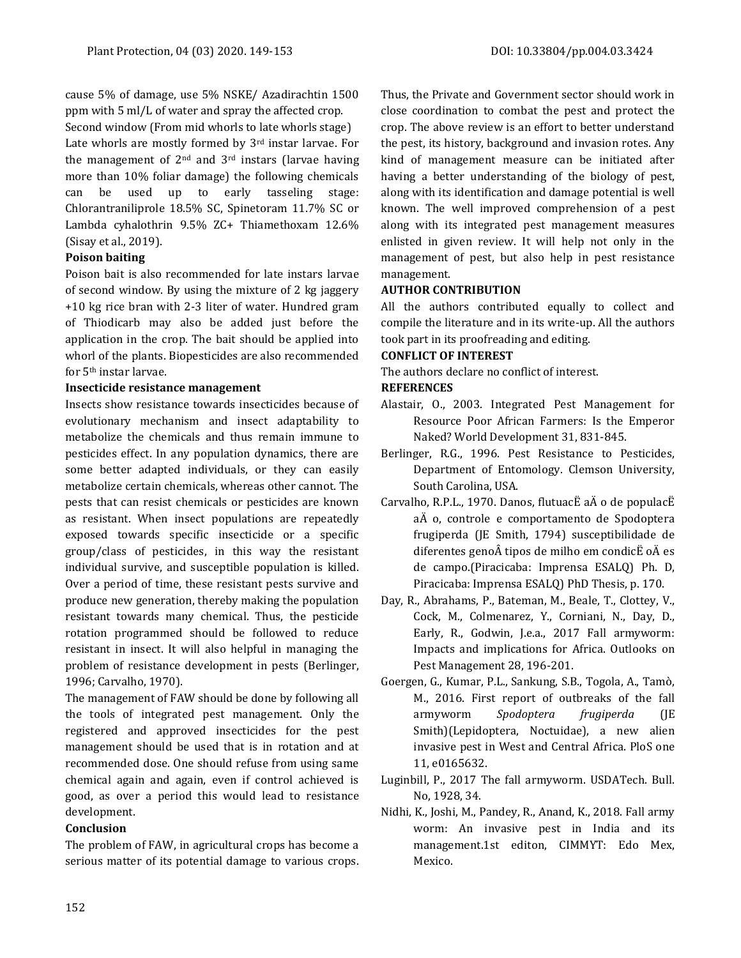cause 5% of damage, use 5% NSKE/ Azadirachtin 1500 ppm with 5 ml/L of water and spray the affected crop.

Second window (From mid whorls to late whorls stage) Late whorls are mostly formed by 3rd instar larvae. For the management of  $2<sup>nd</sup>$  and  $3<sup>rd</sup>$  instars (larvae having more than 10% foliar damage) the following chemicals can be used up to early tasseling stage: Chlorantraniliprole 18.5% SC, Spinetoram 11.7% SC or Lambda cyhalothrin 9.5% ZC+ Thiamethoxam 12.6% (Sisay et al., 2019).

### **Poison baiting**

Poison bait is also recommended for late instars larvae of second window. By using the mixture of 2 kg jaggery +10 kg rice bran with 2-3 liter of water. Hundred gram of Thiodicarb may also be added just before the application in the crop. The bait should be applied into whorl of the plants. Biopesticides are also recommended for 5th instar larvae.

### **Insecticide resistance management**

Insects show resistance towards insecticides because of evolutionary mechanism and insect adaptability to metabolize the chemicals and thus remain immune to pesticides effect. In any population dynamics, there are some better adapted individuals, or they can easily metabolize certain chemicals, whereas other cannot. The pests that can resist chemicals or pesticides are known as resistant. When insect populations are repeatedly exposed towards specific insecticide or a specific group/class of pesticides, in this way the resistant individual survive, and susceptible population is killed. Over a period of time, these resistant pests survive and produce new generation, thereby making the population resistant towards many chemical. Thus, the pesticide rotation programmed should be followed to reduce resistant in insect. It will also helpful in managing the problem of resistance development in pests (Berlinger, 1996; Carvalho, 1970).

The management of FAW should be done by following all the tools of integrated pest management. Only the registered and approved insecticides for the pest management should be used that is in rotation and at recommended dose. One should refuse from using same chemical again and again, even if control achieved is good, as over a period this would lead to resistance development.

## **Conclusion**

The problem of FAW, in agricultural crops has become a serious matter of its potential damage to various crops. Thus, the Private and Government sector should work in close coordination to combat the pest and protect the crop. The above review is an effort to better understand the pest, its history, background and invasion rotes. Any kind of management measure can be initiated after having a better understanding of the biology of pest, along with its identification and damage potential is well known. The well improved comprehension of a pest along with its integrated pest management measures enlisted in given review. It will help not only in the management of pest, but also help in pest resistance management.

## **AUTHOR CONTRIBUTION**

All the authors contributed equally to collect and compile the literature and in its write-up. All the authors took part in its proofreading and editing.

## **CONFLICT OF INTEREST**

The authors declare no conflict of interest.

## **REFERENCES**

- Alastair, O., 2003. Integrated Pest Management for Resource Poor African Farmers: Is the Emperor Naked? World Development 31, 831-845.
- Berlinger, R.G., 1996. Pest Resistance to Pesticides, Department of Entomology. Clemson University, South Carolina, USA.
- Carvalho, R.P.L., 1970. Danos, flutuacË aÄ o de populacË aÄ o, controle e comportamento de Spodoptera frugiperda (JE Smith, 1794) susceptibilidade de diferentes geno $\hat{A}$  tipos de milho em condic $\ddot{E}$  o $\ddot{A}$  es de campo.(Piracicaba: Imprensa ESALQ) Ph. D, Piracicaba: Imprensa ESALQ) PhD Thesis, p. 170.
- Day, R., Abrahams, P., Bateman, M., Beale, T., Clottey, V., Cock, M., Colmenarez, Y., Corniani, N., Day, D., Early, R., Godwin, J.e.a., 2017 Fall armyworm: Impacts and implications for Africa. Outlooks on Pest Management 28, 196-201.
- Goergen, G., Kumar, P.L., Sankung, S.B., Togola, A., Tamò, M., 2016. First report of outbreaks of the fall armyworm *Spodoptera frugiperda* (JE Smith)(Lepidoptera, Noctuidae), a new alien invasive pest in West and Central Africa. PloS one 11, e0165632.
- Luginbill, P., 2017 The fall armyworm. USDATech. Bull. No, 1928, 34.
- Nidhi, K., Joshi, M., Pandey, R., Anand, K., 2018. Fall army worm: An invasive pest in India and its management.1st editon, CIMMYT: Edo Mex, Mexico.